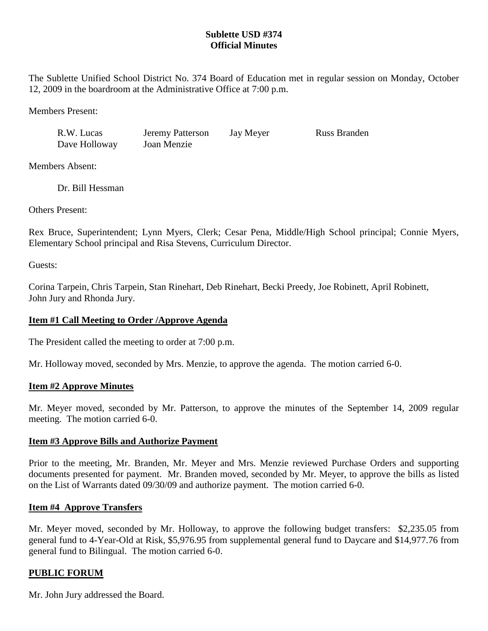# **Sublette USD #374 Official Minutes**

The Sublette Unified School District No. 374 Board of Education met in regular session on Monday, October 12, 2009 in the boardroom at the Administrative Office at 7:00 p.m.

Members Present:

| R.W. Lucas    | Jeremy Patterson | Jay Meyer | <b>Russ Branden</b> |
|---------------|------------------|-----------|---------------------|
| Dave Holloway | Joan Menzie      |           |                     |

Members Absent:

Dr. Bill Hessman

Others Present:

Rex Bruce, Superintendent; Lynn Myers, Clerk; Cesar Pena, Middle/High School principal; Connie Myers, Elementary School principal and Risa Stevens, Curriculum Director.

Guests:

Corina Tarpein, Chris Tarpein, Stan Rinehart, Deb Rinehart, Becki Preedy, Joe Robinett, April Robinett, John Jury and Rhonda Jury.

# **Item #1 Call Meeting to Order /Approve Agenda**

The President called the meeting to order at 7:00 p.m.

Mr. Holloway moved, seconded by Mrs. Menzie, to approve the agenda. The motion carried 6-0.

## **Item #2 Approve Minutes**

Mr. Meyer moved, seconded by Mr. Patterson, to approve the minutes of the September 14, 2009 regular meeting. The motion carried 6-0.

## **Item #3 Approve Bills and Authorize Payment**

Prior to the meeting, Mr. Branden, Mr. Meyer and Mrs. Menzie reviewed Purchase Orders and supporting documents presented for payment. Mr. Branden moved, seconded by Mr. Meyer, to approve the bills as listed on the List of Warrants dated 09/30/09 and authorize payment. The motion carried 6-0.

## **Item #4 Approve Transfers**

Mr. Meyer moved, seconded by Mr. Holloway, to approve the following budget transfers: \$2,235.05 from general fund to 4-Year-Old at Risk, \$5,976.95 from supplemental general fund to Daycare and \$14,977.76 from general fund to Bilingual. The motion carried 6-0.

# **PUBLIC FORUM**

Mr. John Jury addressed the Board.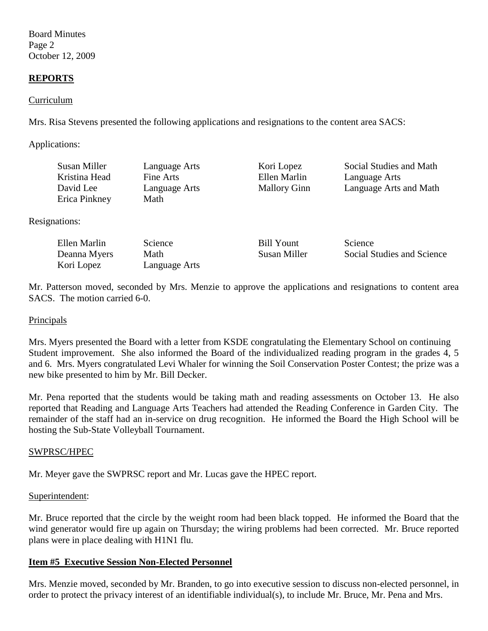Board Minutes Page 2 October 12, 2009

## **REPORTS**

#### Curriculum

Mrs. Risa Stevens presented the following applications and resignations to the content area SACS:

Applications:

| Susan Miller<br>Kristina Head | Language Arts<br>Fine Arts | Kori Lopez<br>Ellen Marlin | Social Studies and Math<br>Language Arts |
|-------------------------------|----------------------------|----------------------------|------------------------------------------|
| David Lee                     | Language Arts              | <b>Mallory Ginn</b>        | Language Arts and Math                   |
| Erica Pinkney                 | Math                       |                            |                                          |

Resignations:

| Ellen Marlin | <b>Science</b> | <b>Bill Yount</b> | <b>Science</b>             |
|--------------|----------------|-------------------|----------------------------|
| Deanna Myers | Math           | Susan Miller      | Social Studies and Science |
| Kori Lopez   | Language Arts  |                   |                            |

Mr. Patterson moved, seconded by Mrs. Menzie to approve the applications and resignations to content area SACS. The motion carried 6-0.

#### **Principals**

Mrs. Myers presented the Board with a letter from KSDE congratulating the Elementary School on continuing Student improvement. She also informed the Board of the individualized reading program in the grades 4, 5 and 6. Mrs. Myers congratulated Levi Whaler for winning the Soil Conservation Poster Contest; the prize was a new bike presented to him by Mr. Bill Decker.

Mr. Pena reported that the students would be taking math and reading assessments on October 13. He also reported that Reading and Language Arts Teachers had attended the Reading Conference in Garden City. The remainder of the staff had an in-service on drug recognition. He informed the Board the High School will be hosting the Sub-State Volleyball Tournament.

#### SWPRSC/HPEC

Mr. Meyer gave the SWPRSC report and Mr. Lucas gave the HPEC report.

#### Superintendent:

Mr. Bruce reported that the circle by the weight room had been black topped. He informed the Board that the wind generator would fire up again on Thursday; the wiring problems had been corrected. Mr. Bruce reported plans were in place dealing with H1N1 flu.

## **Item #5 Executive Session Non-Elected Personnel**

Mrs. Menzie moved, seconded by Mr. Branden, to go into executive session to discuss non-elected personnel, in order to protect the privacy interest of an identifiable individual(s), to include Mr. Bruce, Mr. Pena and Mrs.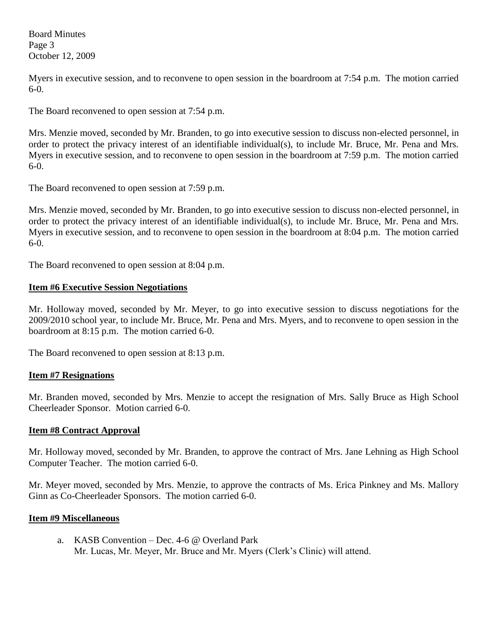Board Minutes Page 3 October 12, 2009

Myers in executive session, and to reconvene to open session in the boardroom at 7:54 p.m. The motion carried 6-0.

The Board reconvened to open session at 7:54 p.m.

Mrs. Menzie moved, seconded by Mr. Branden, to go into executive session to discuss non-elected personnel, in order to protect the privacy interest of an identifiable individual(s), to include Mr. Bruce, Mr. Pena and Mrs. Myers in executive session, and to reconvene to open session in the boardroom at 7:59 p.m. The motion carried 6-0.

The Board reconvened to open session at 7:59 p.m.

Mrs. Menzie moved, seconded by Mr. Branden, to go into executive session to discuss non-elected personnel, in order to protect the privacy interest of an identifiable individual(s), to include Mr. Bruce, Mr. Pena and Mrs. Myers in executive session, and to reconvene to open session in the boardroom at 8:04 p.m. The motion carried 6-0.

The Board reconvened to open session at 8:04 p.m.

## **Item #6 Executive Session Negotiations**

Mr. Holloway moved, seconded by Mr. Meyer, to go into executive session to discuss negotiations for the 2009/2010 school year, to include Mr. Bruce, Mr. Pena and Mrs. Myers, and to reconvene to open session in the boardroom at 8:15 p.m. The motion carried 6-0.

The Board reconvened to open session at 8:13 p.m.

## **Item #7 Resignations**

Mr. Branden moved, seconded by Mrs. Menzie to accept the resignation of Mrs. Sally Bruce as High School Cheerleader Sponsor. Motion carried 6-0.

## **Item #8 Contract Approval**

Mr. Holloway moved, seconded by Mr. Branden, to approve the contract of Mrs. Jane Lehning as High School Computer Teacher. The motion carried 6-0.

Mr. Meyer moved, seconded by Mrs. Menzie, to approve the contracts of Ms. Erica Pinkney and Ms. Mallory Ginn as Co-Cheerleader Sponsors. The motion carried 6-0.

## **Item #9 Miscellaneous**

a. KASB Convention – Dec. 4-6 @ Overland Park Mr. Lucas, Mr. Meyer, Mr. Bruce and Mr. Myers (Clerk's Clinic) will attend.